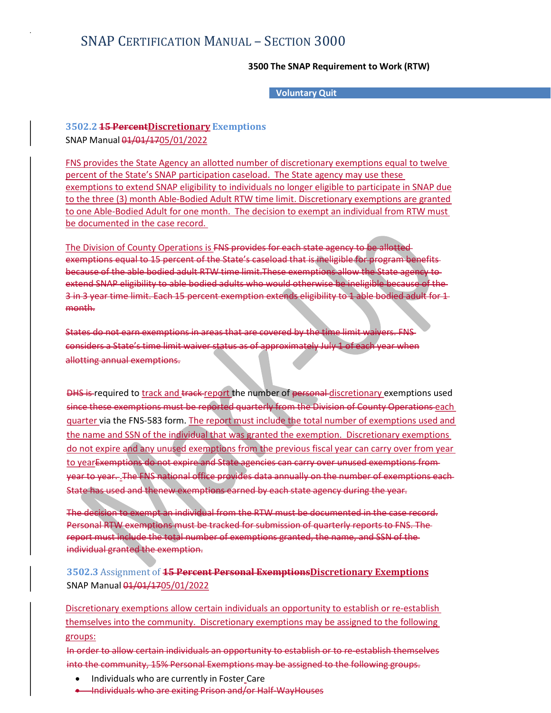# SNAP CERTIFICATION MANUAL – SECTION 3000<br>3500 The SNAP Requirement to Work (RTW)<br>Voluntary Quit

SECTION 3000<br>3500 The SNAP Requirement to Work (RTW)<br>Voluntary Quit

Voluntary Quit

### 3502.2 15 PercentDiscretionary Exemptions SNAP Manual 01/01/1705/01/2022

FNS provides the State Agency an allotted number of discretionary exemptions equal to twelve percent of the State's SNAP participation caseload. The State agency may use these exemptions to extend SNAP eligibility to individuals no longer eligible to participate in SNAP due to the three (3) month Able-Bodied Adult RTW time limit. Discretionary exemptions are granted to one Able-Bodied Adult for one month. The decision to exempt an individual from RTW must be documented in the case record. SNAP CERTIFICATION MANUAL – SECTION 3000<br>
3500 The SNAP Requirement to Work (RTW)<br>
Voluntary Quit<br>
SNAP Manual 04/04/4705/01/2022<br>
SNAP Manual 04/04/4705/01/2022<br>
ENS provides the State's SNAP participation caseload. The

exemptions equal to 15 percent of the State's caseload that is ineligible for program benefits because of the able bodied adult RTW time limit. These exemptions allow the State agency to extend SNAP eligibility to able bodied adults who would otherwise be ineligible because of the 3 in 3 year time limit. Each 15 percent exemption extends eligibility to 1 able bodied adult for 1 month.

States do not earn exemptions in areas that are covered by the time limit waivers. considers a State's time limit waiver status as of approximately July 1 of each year when allotting annual exemptions.

DHS is required to track and track report the number of personal discretionary exemptions used since these exemptions must be reported quarterly from the Division of County Operations each quarter via the FNS-583 form. The report must include the total number of exemptions used and the name and SSN of the individual that was granted the exemption. Discretionary exemptions do not expire and any unused exemptions from the previous fiscal year can carry over from year The Division of County Operations is FNS provides for each state agency to be allotted<br>exemptions equal to 15 percent of the State's caseboat that is inseligible for chergram benefits-<br>exemptions do the spire and State's c year to year. .The FNS national office provides data annually on the number of exemptions each because of the able bodied adult RTW time limit. These exemptions allow the State agency to<br>extend SMAP eligibility to able bodied adults who would obtenuse be included before the<br>eigibility to able bodied adults who would

The decision to exempt an individual from the RTW must be documented in the case record. Personal RTW exemptions must be tracked for submission of quarterly reports to FNS. The report must include the total number of exemptions granted, the name, and SSN of the individual granted the exemption.

3502.3 Assignment of <del>15 Percent Personal Exemptions</del>Discretionary Exemptions SNAP Manual 01/01/1705/01/2022

Discretionary exemptions allow certain individuals an opportunity to establish or re-establish themselves into the community. Discretionary exemptions may be assigned to the following groups:

In order to allow certain individuals an opportunity to establish or to re-establish themselves into the community, 15% Personal Exemptions may be assigned to the following groups.

- Individuals who are currently in Foster Care  $\bullet$
- Individuals who are exiting Prison and/or Half-WayHouses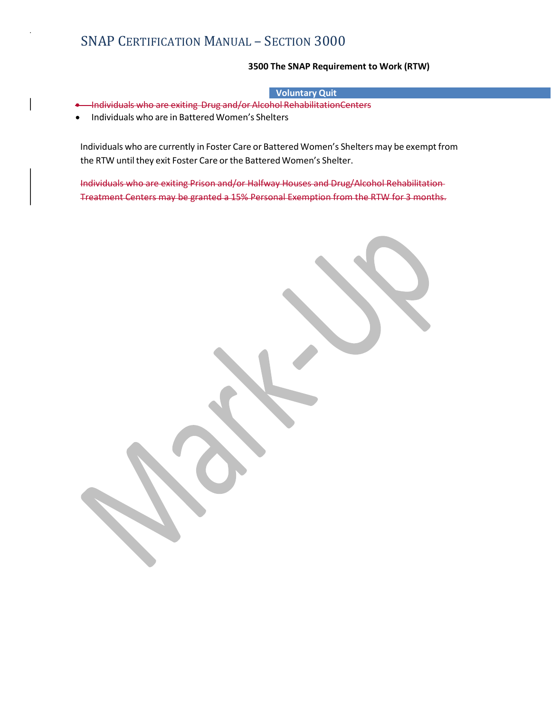# SNAP CERTIFICATION MANUAL – SECTION 3000<br>3500 The SNAP Requirement to Work (RTW)<br>Voluntary Quit

# - - SECTION 3000<br>3500 The SNAP Requirement to Work (RTW)<br>Voluntary Quit<br>Alcohol RehabilitationCenters<br>'s Shelters

### Voluntary Quit

- 
- Individuals who are in Battered Women's Shelters

INAP CERTIFICATION MANUAL – SECTION 3000<br>3500 The SNAP Requirement to Work (RTW)<br>Individuals who are exiting Drug and/or Alcohol RehabilitationCenters<br>Individuals who are in Battered Women's Shelters<br>Iividuals who are curr IMAP CERTIFICATION MANUAL – SECTION 3000<br>
S500 The SNAP Requirement to Work (RTW)<br>
Undividuals who are exiting Drug and/or Aleohol RehabilitationCenters<br>
Individuals who are in Battered Women's Shelters<br>
Individuals who ar the RTW until they exit Foster Care or the Battered Women's Shelter.

Individuals who are exiting Prison and/or Halfway Houses and Drug/Alcohol Rehabilitation Treatment Centers may be granted a 15% Personal Exemption from the RTW for 3 months.